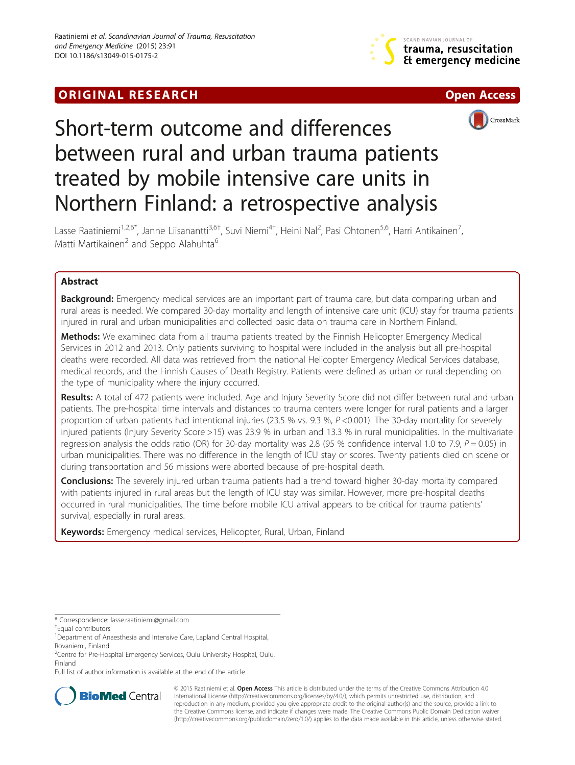





## CrossMark

# Short-term outcome and differences between rural and urban trauma patients treated by mobile intensive care units in Northern Finland: a retrospective analysis

Lasse Raatiniemi<sup>1,2,6\*</sup>, Janne Liisanantti<sup>3,6†</sup>, Suvi Niemi<sup>4†</sup>, Heini Nal<sup>2</sup>, Pasi Ohtonen<sup>5,6</sup>, Harri Antikainen<sup>7</sup> , Matti Martikainen<sup>2</sup> and Seppo Alahuhta<sup>6</sup>

## Abstract

Background: Emergency medical services are an important part of trauma care, but data comparing urban and rural areas is needed. We compared 30-day mortality and length of intensive care unit (ICU) stay for trauma patients injured in rural and urban municipalities and collected basic data on trauma care in Northern Finland.

Methods: We examined data from all trauma patients treated by the Finnish Helicopter Emergency Medical Services in 2012 and 2013. Only patients surviving to hospital were included in the analysis but all pre-hospital deaths were recorded. All data was retrieved from the national Helicopter Emergency Medical Services database, medical records, and the Finnish Causes of Death Registry. Patients were defined as urban or rural depending on the type of municipality where the injury occurred.

Results: A total of 472 patients were included. Age and Injury Severity Score did not differ between rural and urban patients. The pre-hospital time intervals and distances to trauma centers were longer for rural patients and a larger proportion of urban patients had intentional injuries (23.5 % vs. 9.3 %, P <0.001). The 30-day mortality for severely injured patients (Injury Severity Score >15) was 23.9 % in urban and 13.3 % in rural municipalities. In the multivariate regression analysis the odds ratio (OR) for 30-day mortality was 2.8 (95 % confidence interval 1.0 to 7.9,  $P = 0.05$ ) in urban municipalities. There was no difference in the length of ICU stay or scores. Twenty patients died on scene or during transportation and 56 missions were aborted because of pre-hospital death.

**Conclusions:** The severely injured urban trauma patients had a trend toward higher 30-day mortality compared with patients injured in rural areas but the length of ICU stay was similar. However, more pre-hospital deaths occurred in rural municipalities. The time before mobile ICU arrival appears to be critical for trauma patients' survival, especially in rural areas.

Keywords: Emergency medical services, Helicopter, Rural, Urban, Finland

Full list of author information is available at the end of the article



© 2015 Raatiniemi et al. Open Access This article is distributed under the terms of the Creative Commons Attribution 4.0 International License [\(http://creativecommons.org/licenses/by/4.0/](http://creativecommons.org/licenses/by/4.0/)), which permits unrestricted use, distribution, and reproduction in any medium, provided you give appropriate credit to the original author(s) and the source, provide a link to the Creative Commons license, and indicate if changes were made. The Creative Commons Public Domain Dedication waiver [\(http://creativecommons.org/publicdomain/zero/1.0/](http://creativecommons.org/publicdomain/zero/1.0/)) applies to the data made available in this article, unless otherwise stated.

<sup>\*</sup> Correspondence: [lasse.raatiniemi@gmail.com](mailto:lasse.raatiniemi@gmail.com) †

Equal contributors

<sup>&</sup>lt;sup>1</sup>Department of Anaesthesia and Intensive Care, Lapland Central Hospital, Rovaniemi, Finland

<sup>&</sup>lt;sup>2</sup>Centre for Pre-Hospital Emergency Services, Oulu University Hospital, Oulu, Finland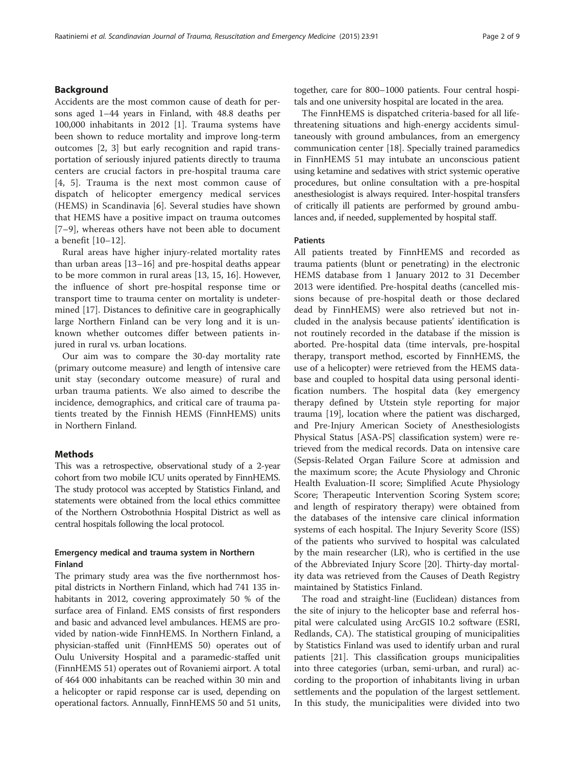## Background

Accidents are the most common cause of death for persons aged 1–44 years in Finland, with 48.8 deaths per 100,000 inhabitants in 2012 [\[1](#page-7-0)]. Trauma systems have been shown to reduce mortality and improve long-term outcomes [[2, 3](#page-7-0)] but early recognition and rapid transportation of seriously injured patients directly to trauma centers are crucial factors in pre-hospital trauma care [[4, 5](#page-7-0)]. Trauma is the next most common cause of dispatch of helicopter emergency medical services (HEMS) in Scandinavia [[6](#page-7-0)]. Several studies have shown that HEMS have a positive impact on trauma outcomes [[7](#page-7-0)–[9\]](#page-7-0), whereas others have not been able to document a benefit [[10](#page-7-0)–[12\]](#page-7-0).

Rural areas have higher injury-related mortality rates than urban areas [\[13](#page-7-0)–[16\]](#page-7-0) and pre-hospital deaths appear to be more common in rural areas [[13](#page-7-0), [15](#page-7-0), [16](#page-7-0)]. However, the influence of short pre-hospital response time or transport time to trauma center on mortality is undetermined [[17\]](#page-8-0). Distances to definitive care in geographically large Northern Finland can be very long and it is unknown whether outcomes differ between patients injured in rural vs. urban locations.

Our aim was to compare the 30-day mortality rate (primary outcome measure) and length of intensive care unit stay (secondary outcome measure) of rural and urban trauma patients. We also aimed to describe the incidence, demographics, and critical care of trauma patients treated by the Finnish HEMS (FinnHEMS) units in Northern Finland.

#### Methods

This was a retrospective, observational study of a 2-year cohort from two mobile ICU units operated by FinnHEMS. The study protocol was accepted by Statistics Finland, and statements were obtained from the local ethics committee of the Northern Ostrobothnia Hospital District as well as central hospitals following the local protocol.

## Emergency medical and trauma system in Northern Finland

The primary study area was the five northernmost hospital districts in Northern Finland, which had 741 135 inhabitants in 2012, covering approximately 50 % of the surface area of Finland. EMS consists of first responders and basic and advanced level ambulances. HEMS are provided by nation-wide FinnHEMS. In Northern Finland, a physician-staffed unit (FinnHEMS 50) operates out of Oulu University Hospital and a paramedic-staffed unit (FinnHEMS 51) operates out of Rovaniemi airport. A total of 464 000 inhabitants can be reached within 30 min and a helicopter or rapid response car is used, depending on operational factors. Annually, FinnHEMS 50 and 51 units, together, care for 800–1000 patients. Four central hospitals and one university hospital are located in the area.

The FinnHEMS is dispatched criteria-based for all lifethreatening situations and high-energy accidents simultaneously with ground ambulances, from an emergency communication center [[18](#page-8-0)]. Specially trained paramedics in FinnHEMS 51 may intubate an unconscious patient using ketamine and sedatives with strict systemic operative procedures, but online consultation with a pre-hospital anesthesiologist is always required. Inter-hospital transfers of critically ill patients are performed by ground ambulances and, if needed, supplemented by hospital staff.

#### Patients

All patients treated by FinnHEMS and recorded as trauma patients (blunt or penetrating) in the electronic HEMS database from 1 January 2012 to 31 December 2013 were identified. Pre-hospital deaths (cancelled missions because of pre-hospital death or those declared dead by FinnHEMS) were also retrieved but not included in the analysis because patients' identification is not routinely recorded in the database if the mission is aborted. Pre-hospital data (time intervals, pre-hospital therapy, transport method, escorted by FinnHEMS, the use of a helicopter) were retrieved from the HEMS database and coupled to hospital data using personal identification numbers. The hospital data (key emergency therapy defined by Utstein style reporting for major trauma [[19\]](#page-8-0), location where the patient was discharged, and Pre-Injury American Society of Anesthesiologists Physical Status [ASA-PS] classification system) were retrieved from the medical records. Data on intensive care (Sepsis-Related Organ Failure Score at admission and the maximum score; the Acute Physiology and Chronic Health Evaluation-II score; Simplified Acute Physiology Score; Therapeutic Intervention Scoring System score; and length of respiratory therapy) were obtained from the databases of the intensive care clinical information systems of each hospital. The Injury Severity Score (ISS) of the patients who survived to hospital was calculated by the main researcher (LR), who is certified in the use of the Abbreviated Injury Score [[20\]](#page-8-0). Thirty-day mortality data was retrieved from the Causes of Death Registry maintained by Statistics Finland.

The road and straight-line (Euclidean) distances from the site of injury to the helicopter base and referral hospital were calculated using ArcGIS 10.2 software (ESRI, Redlands, CA). The statistical grouping of municipalities by Statistics Finland was used to identify urban and rural patients [[21\]](#page-8-0). This classification groups municipalities into three categories (urban, semi-urban, and rural) according to the proportion of inhabitants living in urban settlements and the population of the largest settlement. In this study, the municipalities were divided into two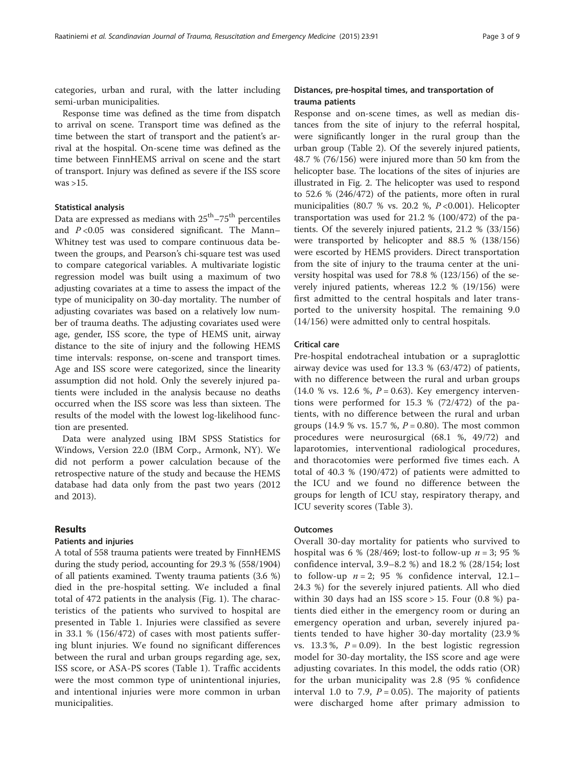categories, urban and rural, with the latter including semi-urban municipalities.

Response time was defined as the time from dispatch to arrival on scene. Transport time was defined as the time between the start of transport and the patient's arrival at the hospital. On-scene time was defined as the time between FinnHEMS arrival on scene and the start of transport. Injury was defined as severe if the ISS score was >15.

#### Statistical analysis

Data are expressed as medians with  $25<sup>th</sup> - 75<sup>th</sup>$  percentiles and  $P < 0.05$  was considered significant. The Mann– Whitney test was used to compare continuous data between the groups, and Pearson's chi-square test was used to compare categorical variables. A multivariate logistic regression model was built using a maximum of two adjusting covariates at a time to assess the impact of the type of municipality on 30-day mortality. The number of adjusting covariates was based on a relatively low number of trauma deaths. The adjusting covariates used were age, gender, ISS score, the type of HEMS unit, airway distance to the site of injury and the following HEMS time intervals: response, on-scene and transport times. Age and ISS score were categorized, since the linearity assumption did not hold. Only the severely injured patients were included in the analysis because no deaths occurred when the ISS score was less than sixteen. The results of the model with the lowest log-likelihood function are presented.

Data were analyzed using IBM SPSS Statistics for Windows, Version 22.0 (IBM Corp., Armonk, NY). We did not perform a power calculation because of the retrospective nature of the study and because the HEMS database had data only from the past two years (2012 and 2013).

## Results

## Patients and injuries

A total of 558 trauma patients were treated by FinnHEMS during the study period, accounting for 29.3 % (558/1904) of all patients examined. Twenty trauma patients (3.6 %) died in the pre-hospital setting. We included a final total of 472 patients in the analysis (Fig. [1\)](#page-3-0). The characteristics of the patients who survived to hospital are presented in Table [1](#page-4-0). Injuries were classified as severe in 33.1 % (156/472) of cases with most patients suffering blunt injuries. We found no significant differences between the rural and urban groups regarding age, sex, ISS score, or ASA-PS scores (Table [1](#page-4-0)). Traffic accidents were the most common type of unintentional injuries, and intentional injuries were more common in urban municipalities.

## Distances, pre-hospital times, and transportation of trauma patients

Response and on-scene times, as well as median distances from the site of injury to the referral hospital, were significantly longer in the rural group than the urban group (Table [2\)](#page-4-0). Of the severely injured patients, 48.7 % (76/156) were injured more than 50 km from the helicopter base. The locations of the sites of injuries are illustrated in Fig. [2](#page-5-0). The helicopter was used to respond to 52.6 % (246/472) of the patients, more often in rural municipalities (80.7 % vs. 20.2 %,  $P < 0.001$ ). Helicopter transportation was used for 21.2 % (100/472) of the patients. Of the severely injured patients, 21.2 % (33/156) were transported by helicopter and 88.5 % (138/156) were escorted by HEMS providers. Direct transportation from the site of injury to the trauma center at the university hospital was used for 78.8 % (123/156) of the severely injured patients, whereas 12.2 % (19/156) were first admitted to the central hospitals and later transported to the university hospital. The remaining 9.0 (14/156) were admitted only to central hospitals.

#### Critical care

Pre-hospital endotracheal intubation or a supraglottic airway device was used for 13.3 % (63/472) of patients, with no difference between the rural and urban groups (14.0 % vs. 12.6 %,  $P = 0.63$ ). Key emergency interventions were performed for 15.3 % (72/472) of the patients, with no difference between the rural and urban groups (14.9 % vs. 15.7 %,  $P = 0.80$ ). The most common procedures were neurosurgical (68.1 %, 49/72) and laparotomies, interventional radiological procedures, and thoracotomies were performed five times each. A total of 40.3 % (190/472) of patients were admitted to the ICU and we found no difference between the groups for length of ICU stay, respiratory therapy, and ICU severity scores (Table [3](#page-6-0)).

## **Outcomes**

Overall 30-day mortality for patients who survived to hospital was 6 % (28/469; lost-to follow-up  $n = 3$ ; 95 % confidence interval, 3.9–8.2 %) and 18.2 % (28/154; lost to follow-up  $n = 2$ ; 95 % confidence interval, 12.1– 24.3 %) for the severely injured patients. All who died within 30 days had an ISS score > 15. Four (0.8 %) patients died either in the emergency room or during an emergency operation and urban, severely injured patients tended to have higher 30-day mortality (23.9 % vs. 13.3%,  $P = 0.09$ ). In the best logistic regression model for 30-day mortality, the ISS score and age were adjusting covariates. In this model, the odds ratio (OR) for the urban municipality was 2.8 (95 % confidence interval 1.0 to 7.9,  $P = 0.05$ ). The majority of patients were discharged home after primary admission to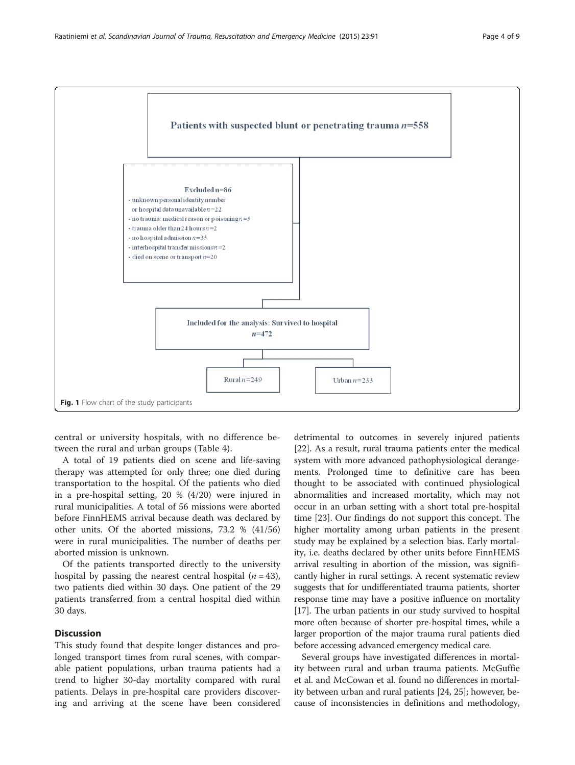<span id="page-3-0"></span>

central or university hospitals, with no difference between the rural and urban groups (Table [4](#page-6-0)).

A total of 19 patients died on scene and life-saving therapy was attempted for only three; one died during transportation to the hospital. Of the patients who died in a pre-hospital setting, 20 % (4/20) were injured in rural municipalities. A total of 56 missions were aborted before FinnHEMS arrival because death was declared by other units. Of the aborted missions, 73.2 % (41/56) were in rural municipalities. The number of deaths per aborted mission is unknown.

Of the patients transported directly to the university hospital by passing the nearest central hospital  $(n = 43)$ , two patients died within 30 days. One patient of the 29 patients transferred from a central hospital died within 30 days.

## **Discussion**

This study found that despite longer distances and prolonged transport times from rural scenes, with comparable patient populations, urban trauma patients had a trend to higher 30-day mortality compared with rural patients. Delays in pre-hospital care providers discovering and arriving at the scene have been considered

detrimental to outcomes in severely injured patients [[22\]](#page-8-0). As a result, rural trauma patients enter the medical system with more advanced pathophysiological derangements. Prolonged time to definitive care has been thought to be associated with continued physiological abnormalities and increased mortality, which may not occur in an urban setting with a short total pre-hospital time [\[23\]](#page-8-0). Our findings do not support this concept. The higher mortality among urban patients in the present study may be explained by a selection bias. Early mortality, i.e. deaths declared by other units before FinnHEMS arrival resulting in abortion of the mission, was significantly higher in rural settings. A recent systematic review suggests that for undifferentiated trauma patients, shorter response time may have a positive influence on mortality [[17](#page-8-0)]. The urban patients in our study survived to hospital more often because of shorter pre-hospital times, while a larger proportion of the major trauma rural patients died before accessing advanced emergency medical care.

Several groups have investigated differences in mortality between rural and urban trauma patients. McGuffie et al. and McCowan et al. found no differences in mortality between urban and rural patients [\[24, 25](#page-8-0)]; however, because of inconsistencies in definitions and methodology,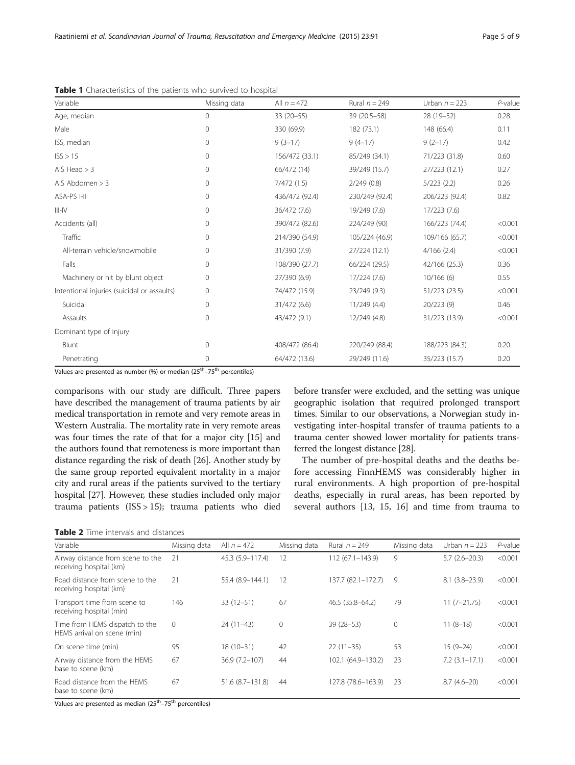| Variable                                    | Missing data | All $n = 472$  | Rural $n = 249$ | Urban $n = 223$ | $P$ -value |
|---------------------------------------------|--------------|----------------|-----------------|-----------------|------------|
| Age, median                                 | $\mathbf{0}$ | $33(20 - 55)$  | 39 (20.5-58)    | 28 (19-52)      | 0.28       |
| Male                                        | 0            | 330 (69.9)     | 182 (73.1)      | 148 (66.4)      | 0.11       |
| ISS, median                                 | $\Omega$     | $9(3-17)$      | $9(4-17)$       | $9(2-17)$       | 0.42       |
| ISS > 15                                    | $\Omega$     | 156/472 (33.1) | 85/249 (34.1)   | 71/223 (31.8)   | 0.60       |
| AIS Head $>$ 3                              | 0            | 66/472 (14)    | 39/249 (15.7)   | 27/223 (12.1)   | 0.27       |
| AIS Abdomen $>$ 3                           | 0            | 7/472(1.5)     | 2/249(0.8)      | 5/223(2.2)      | 0.26       |
| ASA-PS I-II                                 | 0            | 436/472 (92.4) | 230/249 (92.4)  | 206/223 (92.4)  | 0.82       |
| $III - IV$                                  | $\mathbf{0}$ | 36/472 (7.6)   | 19/249 (7.6)    | 17/223 (7.6)    |            |
| Accidents (all)                             | 0            | 390/472 (82.6) | 224/249 (90)    | 166/223 (74.4)  | < 0.001    |
| Traffic                                     | 0            | 214/390 (54.9) | 105/224 (46.9)  | 109/166 (65.7)  | < 0.001    |
| All-terrain vehicle/snowmobile              | $\Omega$     | 31/390 (7.9)   | 27/224 (12.1)   | 4/166(2.4)      | < 0.001    |
| Falls                                       | $\Omega$     | 108/390 (27.7) | 66/224 (29.5)   | 42/166 (25.3)   | 0.36       |
| Machinery or hit by blunt object            | $\Omega$     | 27/390 (6.9)   | 17/224 (7.6)    | 10/166(6)       | 0.55       |
| Intentional injuries (suicidal or assaults) | 0            | 74/472 (15.9)  | 23/249 (9.3)    | 51/223 (23.5)   | < 0.001    |
| Suicidal                                    | $\Omega$     | 31/472 (6.6)   | 11/249(4.4)     | 20/223(9)       | 0.46       |
| Assaults                                    | 0            | 43/472 (9.1)   | 12/249 (4.8)    | 31/223 (13.9)   | < 0.001    |
| Dominant type of injury                     |              |                |                 |                 |            |
| Blunt                                       | $\mathbf{0}$ | 408/472 (86.4) | 220/249 (88.4)  | 188/223 (84.3)  | 0.20       |
| Penetrating                                 | 0            | 64/472 (13.6)  | 29/249 (11.6)   | 35/223 (15.7)   | 0.20       |

<span id="page-4-0"></span>**Table 1** Characteristics of the patients who survived to hospital

Values are presented as number (%) or median  $(25<sup>th</sup>-75<sup>th</sup>$  percentiles)

comparisons with our study are difficult. Three papers have described the management of trauma patients by air medical transportation in remote and very remote areas in Western Australia. The mortality rate in very remote areas was four times the rate of that for a major city [\[15\]](#page-7-0) and the authors found that remoteness is more important than distance regarding the risk of death [\[26](#page-8-0)]. Another study by the same group reported equivalent mortality in a major city and rural areas if the patients survived to the tertiary hospital [[27](#page-8-0)]. However, these studies included only major trauma patients ( $ISS > 15$ ); trauma patients who died

before transfer were excluded, and the setting was unique geographic isolation that required prolonged transport times. Similar to our observations, a Norwegian study investigating inter-hospital transfer of trauma patients to a trauma center showed lower mortality for patients transferred the longest distance [[28](#page-8-0)].

The number of pre-hospital deaths and the deaths before accessing FinnHEMS was considerably higher in rural environments. A high proportion of pre-hospital deaths, especially in rural areas, has been reported by several authors [\[13](#page-7-0), [15](#page-7-0), [16](#page-7-0)] and time from trauma to

Table 2 Time intervals and distances

| Variable                                                                   | All $n = 472$     |              | Missing data | Rural $n = 249$     | Missing data | Urban $n = 223$      | P-value |
|----------------------------------------------------------------------------|-------------------|--------------|--------------|---------------------|--------------|----------------------|---------|
| Airway distance from scene to the<br>receiving hospital (km)               | 45.3 (5.9-117.4)  | 12           |              | $112(67.1 - 143.9)$ | 9            | $5.7(2.6-20.3)$      | < 0.001 |
| Road distance from scene to the<br>receiving hospital (km)                 | 55.4 (8.9-144.1)  | 12           |              | 137.7 (82.1-172.7)  | 9            | $8.1(3.8-23.9)$      | < 0.001 |
| Transport time from scene to<br>receiving hospital (min)                   | $33(12-51)$       | 67           |              | 46.5 (35.8-64.2)    | 79           | $11(7-21.75)$        | < 0.001 |
| Time from HEMS dispatch to the<br>HEMS arrival on scene (min)              | $24(11-43)$       | $\mathbf{0}$ |              | $39(28 - 53)$       | $\mathbf{0}$ | $11(8-18)$           | < 0.001 |
|                                                                            | $18(10-31)$       | 42           |              | $22(11-35)$         | 53           | $15(9-24)$           | < 0.001 |
|                                                                            | $36.9(7.2 - 107)$ | 44           |              | 102.1 (64.9-130.2)  | 23           | $7.2$ $(3.1 - 17.1)$ | < 0.001 |
| Road distance from the HEMS<br>base to scene (km)                          | 51.6 (8.7-131.8)  | 44           |              | 127.8 (78.6-163.9)  | 23           | $8.7(4.6-20)$        | < 0.001 |
| On scene time (min)<br>Airway distance from the HEMS<br>base to scene (km) |                   |              |              |                     |              |                      |         |

Values are presented as median (25<sup>th</sup>–75<sup>th</sup> percentiles)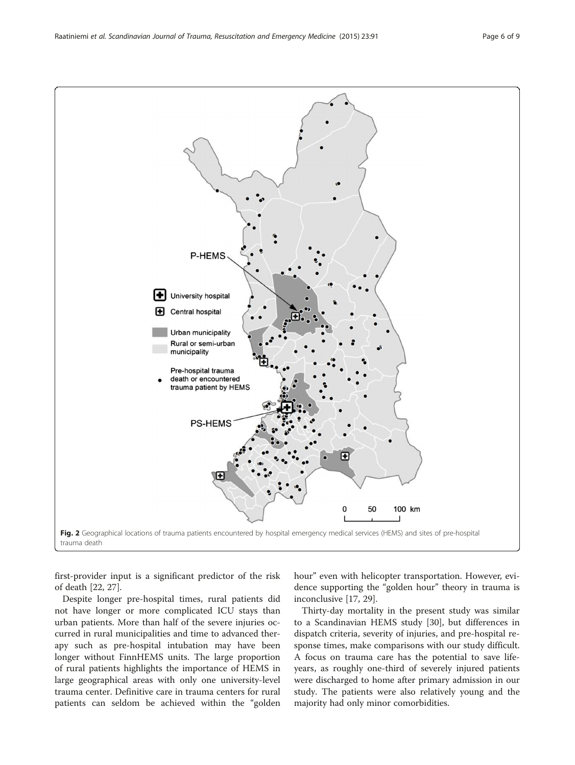<span id="page-5-0"></span>

first-provider input is a significant predictor of the risk of death [\[22, 27\]](#page-8-0).

Despite longer pre-hospital times, rural patients did not have longer or more complicated ICU stays than urban patients. More than half of the severe injuries occurred in rural municipalities and time to advanced therapy such as pre-hospital intubation may have been longer without FinnHEMS units. The large proportion of rural patients highlights the importance of HEMS in large geographical areas with only one university-level trauma center. Definitive care in trauma centers for rural patients can seldom be achieved within the "golden

hour" even with helicopter transportation. However, evidence supporting the "golden hour" theory in trauma is inconclusive [\[17](#page-8-0), [29\]](#page-8-0).

Thirty-day mortality in the present study was similar to a Scandinavian HEMS study [\[30\]](#page-8-0), but differences in dispatch criteria, severity of injuries, and pre-hospital response times, make comparisons with our study difficult. A focus on trauma care has the potential to save lifeyears, as roughly one-third of severely injured patients were discharged to home after primary admission in our study. The patients were also relatively young and the majority had only minor comorbidities.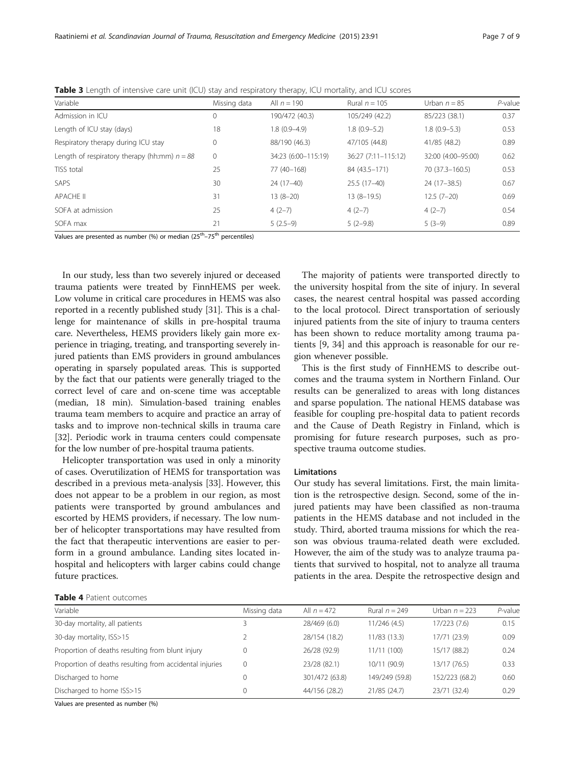| Variable                                       | Missing data | All $n = 190$       | Rural $n = 105$     | Urban $n = 85$     | $P$ -value |  |
|------------------------------------------------|--------------|---------------------|---------------------|--------------------|------------|--|
| Admission in ICU                               |              | 190/472 (40.3)      | 105/249 (42.2)      | 85/223 (38.1)      | 0.37       |  |
| Length of ICU stay (days)                      | 18           | $1.8(0.9-4.9)$      | $1.8(0.9 - 5.2)$    | $1.8(0.9 - 5.3)$   | 0.53       |  |
| Respiratory therapy during ICU stay            | $\Omega$     | 88/190 (46.3)       | 47/105 (44.8)       | 41/85 (48.2)       | 0.89       |  |
| Length of respiratory therapy (hh:mm) $n = 88$ | $\Omega$     | 34:23 (6:00-115:19) | 36:27 (7:11-115:12) | 32:00 (4:00-95:00) | 0.62       |  |
| TISS total                                     | 25           | 77 (40-168)         | 84 (43.5-171)       | 70 (37.3-160.5)    | 0.53       |  |
| <b>SAPS</b>                                    | 30           | $24(17-40)$         | 25.5 (17-40)        | $24(17-38.5)$      | 0.67       |  |
| APACHE II                                      | 31           | $13(8-20)$          | $13(8-19.5)$        | $12.5(7-20)$       | 0.69       |  |
| SOFA at admission                              | 25           | $4(2-7)$            | $4(2-7)$            | $4(2-7)$           | 0.54       |  |
| SOFA max                                       | 21           | $5(2.5-9)$          | $5(2-9.8)$          | $5(3-9)$           | 0.89       |  |
|                                                |              |                     |                     |                    |            |  |

<span id="page-6-0"></span>**Table 3** Length of intensive care unit (ICU) stay and respiratory therapy, ICU mortality, and ICU scores

Values are presented as number (%) or median (25<sup>th</sup>–75<sup>th</sup> percentiles)

In our study, less than two severely injured or deceased trauma patients were treated by FinnHEMS per week. Low volume in critical care procedures in HEMS was also reported in a recently published study [[31](#page-8-0)]. This is a challenge for maintenance of skills in pre-hospital trauma care. Nevertheless, HEMS providers likely gain more experience in triaging, treating, and transporting severely injured patients than EMS providers in ground ambulances operating in sparsely populated areas. This is supported by the fact that our patients were generally triaged to the correct level of care and on-scene time was acceptable (median, 18 min). Simulation-based training enables trauma team members to acquire and practice an array of tasks and to improve non-technical skills in trauma care [[32](#page-8-0)]. Periodic work in trauma centers could compensate for the low number of pre-hospital trauma patients.

Helicopter transportation was used in only a minority of cases. Overutilization of HEMS for transportation was described in a previous meta-analysis [\[33](#page-8-0)]. However, this does not appear to be a problem in our region, as most patients were transported by ground ambulances and escorted by HEMS providers, if necessary. The low number of helicopter transportations may have resulted from the fact that therapeutic interventions are easier to perform in a ground ambulance. Landing sites located inhospital and helicopters with larger cabins could change future practices.

The majority of patients were transported directly to the university hospital from the site of injury. In several cases, the nearest central hospital was passed according to the local protocol. Direct transportation of seriously injured patients from the site of injury to trauma centers has been shown to reduce mortality among trauma patients [[9,](#page-7-0) [34](#page-8-0)] and this approach is reasonable for our region whenever possible.

This is the first study of FinnHEMS to describe outcomes and the trauma system in Northern Finland. Our results can be generalized to areas with long distances and sparse population. The national HEMS database was feasible for coupling pre-hospital data to patient records and the Cause of Death Registry in Finland, which is promising for future research purposes, such as prospective trauma outcome studies.

### Limitations

Our study has several limitations. First, the main limitation is the retrospective design. Second, some of the injured patients may have been classified as non-trauma patients in the HEMS database and not included in the study. Third, aborted trauma missions for which the reason was obvious trauma-related death were excluded. However, the aim of the study was to analyze trauma patients that survived to hospital, not to analyze all trauma patients in the area. Despite the retrospective design and

| <b>Table 4</b> Patient outcomes |
|---------------------------------|
|---------------------------------|

| Variable                                                | Missing data | All $n = 472$  | Rural $n = 249$ | Urban $n = 223$ | $P$ -value |
|---------------------------------------------------------|--------------|----------------|-----------------|-----------------|------------|
| 30-day mortality, all patients                          |              | 28/469 (6.0)   | 11/246 (4.5)    | 17/223(7.6)     | 0.15       |
| 30-day mortality, ISS>15                                |              | 28/154 (18.2)  | 11/83 (13.3)    | 17/71 (23.9)    | 0.09       |
| Proportion of deaths resulting from blunt injury        | C            | 26/28 (92.9)   | 11/11 (100)     | 15/17 (88.2)    | 0.24       |
| Proportion of deaths resulting from accidental injuries | 0            | 23/28 (82.1)   | 10/11 (90.9)    | 13/17 (76.5)    | 0.33       |
| Discharged to home                                      | $\Omega$     | 301/472 (63.8) | 149/249 (59.8)  | 152/223 (68.2)  | 0.60       |
| Discharged to home ISS>15                               | 0            | 44/156 (28.2)  | 21/85 (24.7)    | 23/71 (32.4)    | 0.29       |

Values are presented as number (%)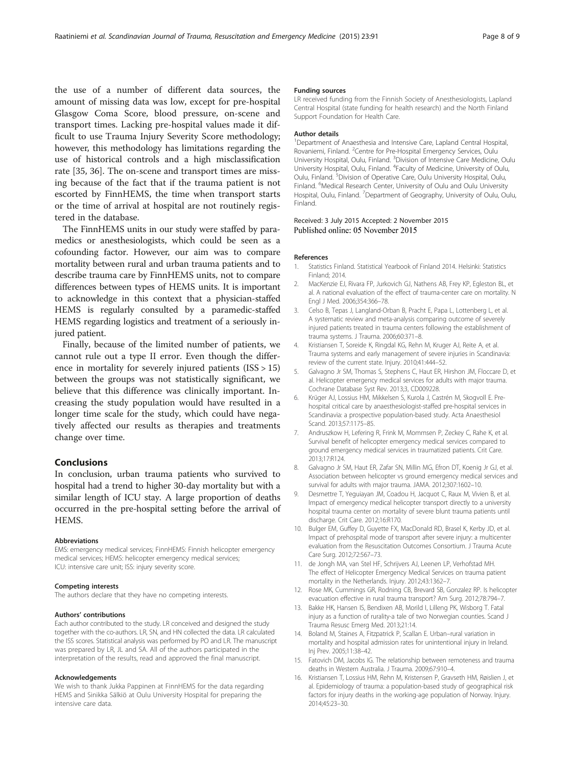<span id="page-7-0"></span>the use of a number of different data sources, the amount of missing data was low, except for pre-hospital Glasgow Coma Score, blood pressure, on-scene and transport times. Lacking pre-hospital values made it difficult to use Trauma Injury Severity Score methodology; however, this methodology has limitations regarding the use of historical controls and a high misclassification rate [\[35](#page-8-0), [36](#page-8-0)]. The on-scene and transport times are missing because of the fact that if the trauma patient is not escorted by FinnHEMS, the time when transport starts or the time of arrival at hospital are not routinely registered in the database.

The FinnHEMS units in our study were staffed by paramedics or anesthesiologists, which could be seen as a cofounding factor. However, our aim was to compare mortality between rural and urban trauma patients and to describe trauma care by FinnHEMS units, not to compare differences between types of HEMS units. It is important to acknowledge in this context that a physician-staffed HEMS is regularly consulted by a paramedic-staffed HEMS regarding logistics and treatment of a seriously injured patient.

Finally, because of the limited number of patients, we cannot rule out a type II error. Even though the difference in mortality for severely injured patients (ISS > 15) between the groups was not statistically significant, we believe that this difference was clinically important. Increasing the study population would have resulted in a longer time scale for the study, which could have negatively affected our results as therapies and treatments change over time.

## Conclusions

In conclusion, urban trauma patients who survived to hospital had a trend to higher 30-day mortality but with a similar length of ICU stay. A large proportion of deaths occurred in the pre-hospital setting before the arrival of HEMS.

#### Abbreviations

EMS: emergency medical services; FinnHEMS: Finnish helicopter emergency medical services; HEMS: helicopter emergency medical services; ICU: intensive care unit; ISS: injury severity score.

#### Competing interests

The authors declare that they have no competing interests.

#### Authors' contributions

Each author contributed to the study. LR conceived and designed the study together with the co-authors. LR, SN, and HN collected the data. LR calculated the ISS scores. Statistical analysis was performed by PO and LR. The manuscript was prepared by LR, JL and SA. All of the authors participated in the interpretation of the results, read and approved the final manuscript.

#### Acknowledgements

We wish to thank Jukka Pappinen at FinnHEMS for the data regarding HEMS and Sinikka Sälkiö at Oulu University Hospital for preparing the intensive care data.

#### Funding sources

LR received funding from the Finnish Society of Anesthesiologists, Lapland Central Hospital (state funding for health research) and the North Finland Support Foundation for Health Care.

#### Author details

<sup>1</sup>Department of Anaesthesia and Intensive Care, Lapland Central Hospital Rovaniemi, Finland. <sup>2</sup> Centre for Pre-Hospital Emergency Services, Oulu University Hospital, Oulu, Finland. <sup>3</sup> Division of Intensive Care Medicine, Oulu University Hospital, Oulu, Finland. <sup>4</sup> Faculty of Medicine, University of Oulu, Oulu, Finland. <sup>5</sup> Division of Operative Care, Oulu University Hospital, Oulu, Finland. <sup>6</sup>Medical Research Center, University of Oulu and Oulu University Hospital, Oulu, Finland. <sup>7</sup> Department of Geography, University of Oulu, Oulu, Finland.

#### Received: 3 July 2015 Accepted: 2 November 2015 Published online: 05 November 2015

#### References

- 1. Statistics Finland. Statistical Yearbook of Finland 2014. Helsinki: Statistics Finland; 2014.
- 2. MacKenzie EJ, Rivara FP, Jurkovich GJ, Nathens AB, Frey KP, Egleston BL, et al. A national evaluation of the effect of trauma-center care on mortality. N Engl J Med. 2006;354:366–78.
- 3. Celso B, Tepas J, Langland-Orban B, Pracht E, Papa L, Lottenberg L, et al. A systematic review and meta-analysis comparing outcome of severely injured patients treated in trauma centers following the establishment of trauma systems. J Trauma. 2006;60:371–8.
- 4. Kristiansen T, Soreide K, Ringdal KG, Rehn M, Kruger AJ, Reite A, et al. Trauma systems and early management of severe injuries in Scandinavia: review of the current state. Injury. 2010;41:444–52.
- 5. Galvagno Jr SM, Thomas S, Stephens C, Haut ER, Hirshon JM, Floccare D, et al. Helicopter emergency medical services for adults with major trauma. Cochrane Database Syst Rev. 2013;3, CD009228.
- 6. Krüger AJ, Lossius HM, Mikkelsen S, Kurola J, Castrén M, Skogvoll E. Prehospital critical care by anaesthesiologist-staffed pre-hospital services in Scandinavia: a prospective population-based study. Acta Anaesthesiol Scand. 2013;57:1175–85.
- 7. Andruszkow H, Lefering R, Frink M, Mommsen P, Zeckey C, Rahe K, et al. Survival benefit of helicopter emergency medical services compared to ground emergency medical services in traumatized patients. Crit Care. 2013;17:R124.
- 8. Galvagno Jr SM, Haut ER, Zafar SN, Millin MG, Efron DT, Koenig Jr GJ, et al. Association between helicopter vs ground emergency medical services and survival for adults with major trauma. JAMA. 2012;307:1602–10.
- 9. Desmettre T, Yeguiayan JM, Coadou H, Jacquot C, Raux M, Vivien B, et al. Impact of emergency medical helicopter transport directly to a university hospital trauma center on mortality of severe blunt trauma patients until discharge. Crit Care. 2012;16:R170.
- 10. Bulger EM, Guffey D, Guyette FX, MacDonald RD, Brasel K, Kerby JD, et al. Impact of prehospital mode of transport after severe injury: a multicenter evaluation from the Resuscitation Outcomes Consortium. J Trauma Acute Care Surg. 2012;72:567–73.
- 11. de Jongh MA, van Stel HF, Schrijvers AJ, Leenen LP, Verhofstad MH. The effect of Helicopter Emergency Medical Services on trauma patient mortality in the Netherlands. Injury. 2012;43:1362–7.
- 12. Rose MK, Cummings GR, Rodning CB, Brevard SB, Gonzalez RP. Is helicopter evacuation effective in rural trauma transport? Am Surg. 2012;78:794–7.
- 13. Bakke HK, Hansen IS, Bendixen AB, Morild I, Lilleng PK, Wisborg T. Fatal injury as a function of rurality-a tale of two Norwegian counties. Scand J Trauma Resusc Emerg Med. 2013;21:14.
- 14. Boland M, Staines A, Fitzpatrick P, Scallan E. Urban–rural variation in mortality and hospital admission rates for unintentional injury in Ireland. Inj Prev. 2005;11:38–42.
- 15. Fatovich DM, Jacobs IG. The relationship between remoteness and trauma deaths in Western Australia. J Trauma. 2009;67:910–4.
- 16. Kristiansen T, Lossius HM, Rehn M, Kristensen P, Gravseth HM, Røislien J, et al. Epidemiology of trauma: a population-based study of geographical risk factors for injury deaths in the working-age population of Norway. Injury. 2014;45:23–30.